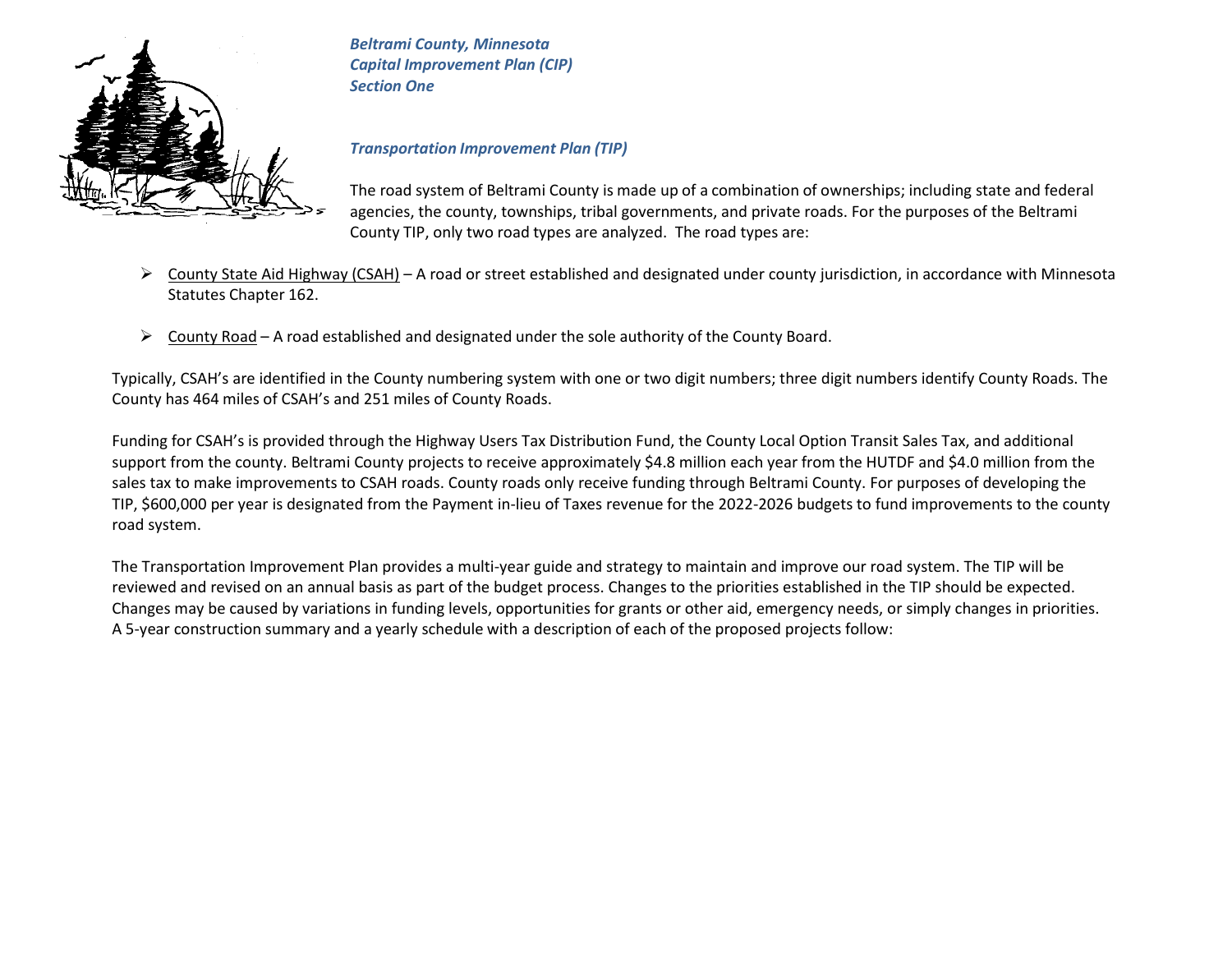

*Beltrami County, Minnesota Capital Improvement Plan (CIP) Section One*

#### *Transportation Improvement Plan (TIP)*

The road system of Beltrami County is made up of a combination of ownerships; including state and federal agencies, the county, townships, tribal governments, and private roads. For the purposes of the Beltrami County TIP, only two road types are analyzed. The road types are:

- $\triangleright$  County State Aid Highway (CSAH) A road or street established and designated under county jurisdiction, in accordance with Minnesota Statutes Chapter 162.
- $\triangleright$  County Road A road established and designated under the sole authority of the County Board.

Typically, CSAH's are identified in the County numbering system with one or two digit numbers; three digit numbers identify County Roads. The County has 464 miles of CSAH's and 251 miles of County Roads.

Funding for CSAH's is provided through the Highway Users Tax Distribution Fund, the County Local Option Transit Sales Tax, and additional support from the county. Beltrami County projects to receive approximately \$4.8 million each year from the HUTDF and \$4.0 million from the sales tax to make improvements to CSAH roads. County roads only receive funding through Beltrami County. For purposes of developing the TIP, \$600,000 per year is designated from the Payment in-lieu of Taxes revenue for the 2022-2026 budgets to fund improvements to the county road system.

The Transportation Improvement Plan provides a multi-year guide and strategy to maintain and improve our road system. The TIP will be reviewed and revised on an annual basis as part of the budget process. Changes to the priorities established in the TIP should be expected. Changes may be caused by variations in funding levels, opportunities for grants or other aid, emergency needs, or simply changes in priorities. A 5-year construction summary and a yearly schedule with a description of each of the proposed projects follow: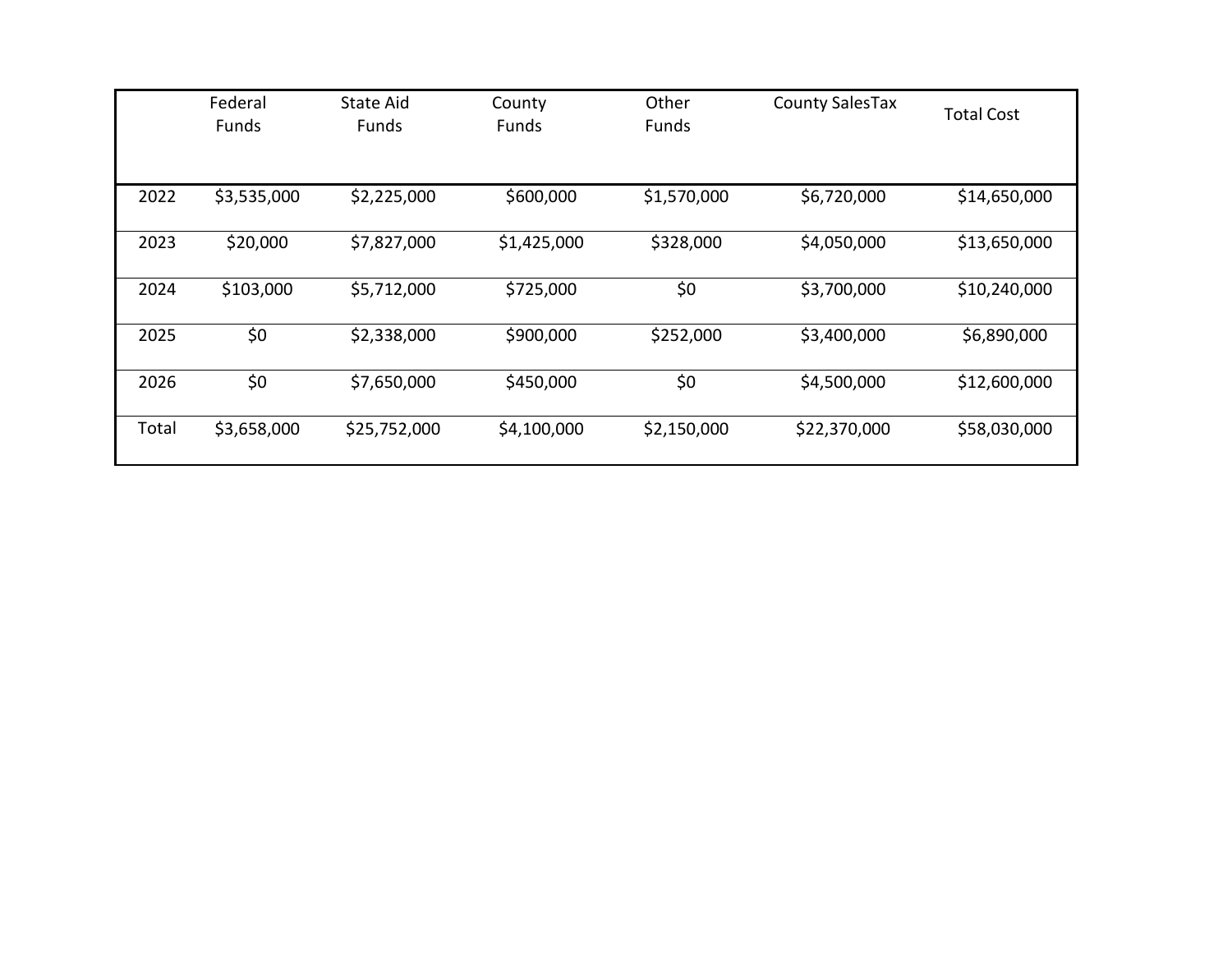|       | Federal<br>Funds | State Aid<br><b>Funds</b> | County<br><b>Funds</b> | Other<br><b>Funds</b> | <b>County SalesTax</b> | <b>Total Cost</b> |
|-------|------------------|---------------------------|------------------------|-----------------------|------------------------|-------------------|
| 2022  | \$3,535,000      | \$2,225,000               | \$600,000              | \$1,570,000           | \$6,720,000            | \$14,650,000      |
| 2023  | \$20,000         | \$7,827,000               | \$1,425,000            | \$328,000             | \$4,050,000            | \$13,650,000      |
| 2024  | \$103,000        | \$5,712,000               | \$725,000              | \$0                   | \$3,700,000            | \$10,240,000      |
| 2025  | \$0              | \$2,338,000               | \$900,000              | \$252,000             | \$3,400,000            | \$6,890,000       |
| 2026  | \$0              | \$7,650,000               | \$450,000              | \$0                   | \$4,500,000            | \$12,600,000      |
| Total | \$3,658,000      | \$25,752,000              | \$4,100,000            | \$2,150,000           | \$22,370,000           | \$58,030,000      |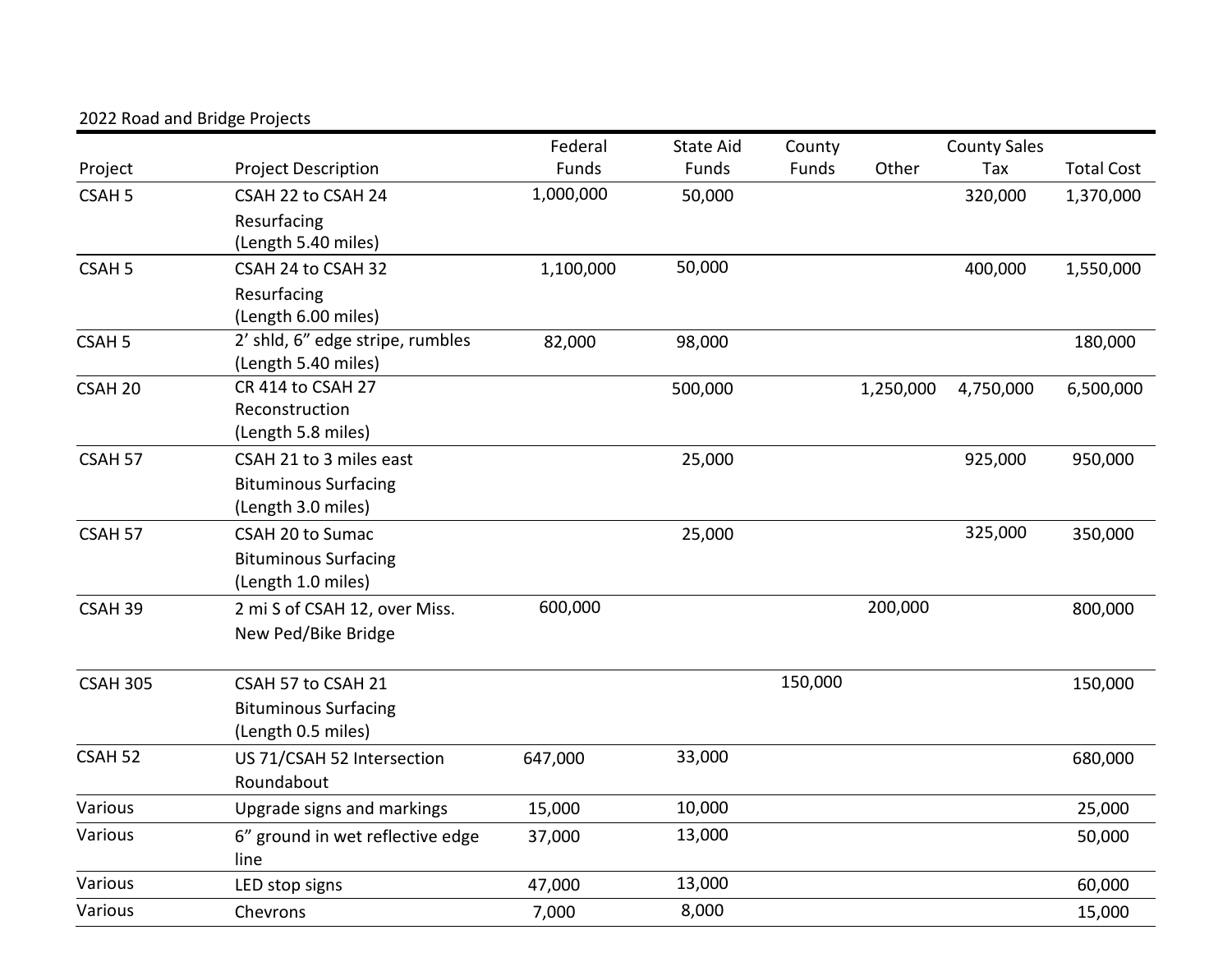|                    |                                                           | Federal   | <b>State Aid</b> | County  |           | <b>County Sales</b> |                   |
|--------------------|-----------------------------------------------------------|-----------|------------------|---------|-----------|---------------------|-------------------|
| Project            | <b>Project Description</b>                                | Funds     | Funds            | Funds   | Other     | Tax                 | <b>Total Cost</b> |
| CSAH <sub>5</sub>  | CSAH 22 to CSAH 24                                        | 1,000,000 | 50,000           |         |           | 320,000             | 1,370,000         |
|                    | Resurfacing<br>(Length 5.40 miles)                        |           |                  |         |           |                     |                   |
| CSAH <sub>5</sub>  | CSAH 24 to CSAH 32                                        | 1,100,000 | 50,000           |         |           | 400,000             | 1,550,000         |
|                    | Resurfacing<br>(Length 6.00 miles)                        |           |                  |         |           |                     |                   |
| CSAH <sub>5</sub>  | 2' shld, 6" edge stripe, rumbles<br>(Length 5.40 miles)   | 82,000    | 98,000           |         |           |                     | 180,000           |
| CSAH <sub>20</sub> | CR 414 to CSAH 27<br>Reconstruction<br>(Length 5.8 miles) |           | 500,000          |         | 1,250,000 | 4,750,000           | 6,500,000         |
| CSAH 57            | CSAH 21 to 3 miles east                                   |           | 25,000           |         |           | 925,000             | 950,000           |
|                    | <b>Bituminous Surfacing</b><br>(Length 3.0 miles)         |           |                  |         |           |                     |                   |
| CSAH 57            | <b>CSAH 20 to Sumac</b>                                   |           | 25,000           |         |           | 325,000             | 350,000           |
|                    | <b>Bituminous Surfacing</b>                               |           |                  |         |           |                     |                   |
|                    | (Length 1.0 miles)                                        |           |                  |         |           |                     |                   |
| CSAH 39            | 2 mi S of CSAH 12, over Miss.<br>New Ped/Bike Bridge      | 600,000   |                  |         | 200,000   |                     | 800,000           |
| <b>CSAH 305</b>    | CSAH 57 to CSAH 21                                        |           |                  | 150,000 |           |                     | 150,000           |
|                    | <b>Bituminous Surfacing</b><br>(Length 0.5 miles)         |           |                  |         |           |                     |                   |
| CSAH <sub>52</sub> | US 71/CSAH 52 Intersection<br>Roundabout                  | 647,000   | 33,000           |         |           |                     | 680,000           |
| Various            | Upgrade signs and markings                                | 15,000    | 10,000           |         |           |                     | 25,000            |
| Various            | 6" ground in wet reflective edge<br>line                  | 37,000    | 13,000           |         |           |                     | 50,000            |
| Various            | LED stop signs                                            | 47,000    | 13,000           |         |           |                     | 60,000            |
| Various            | Chevrons                                                  | 7,000     | 8,000            |         |           |                     | 15,000            |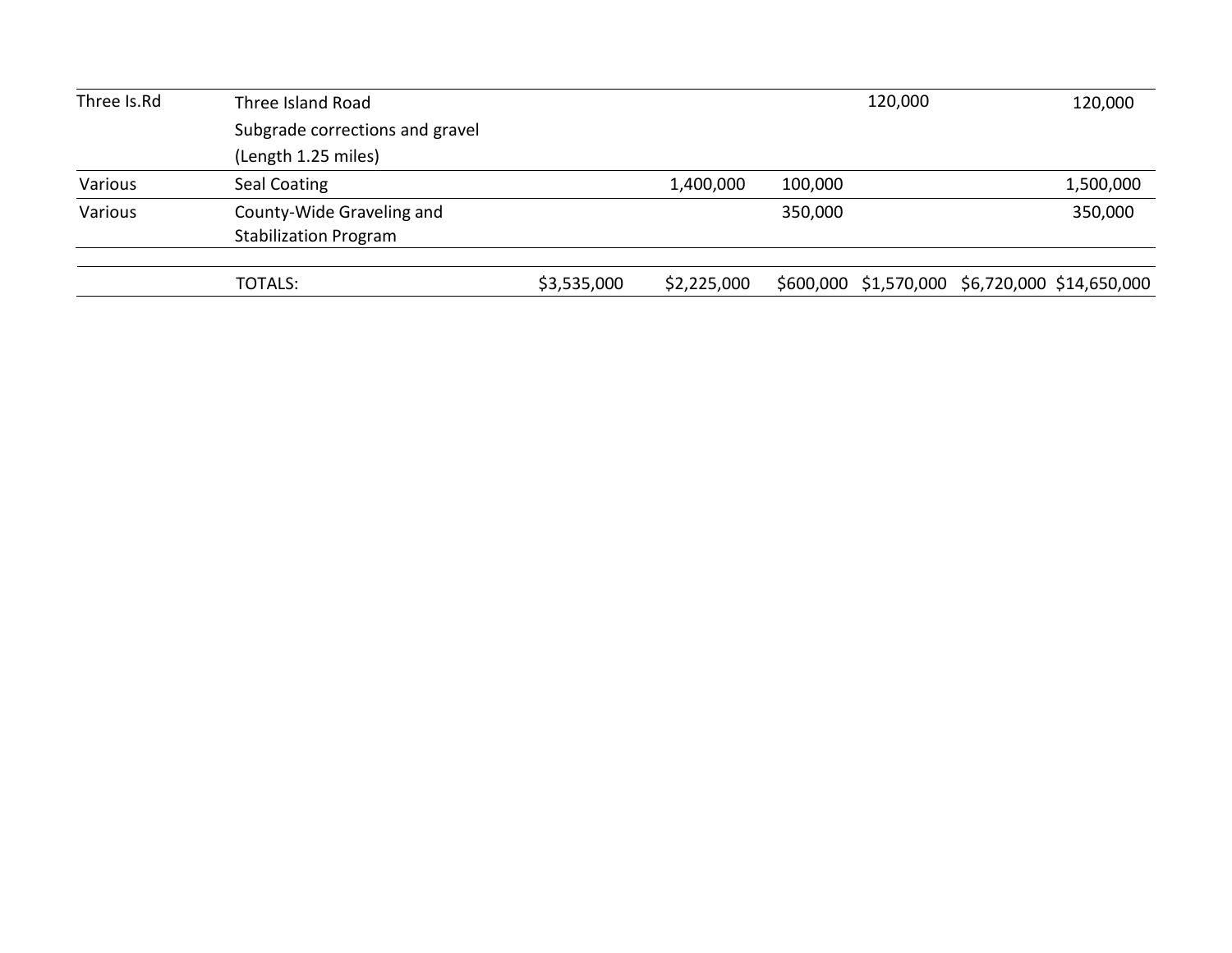| Three Is.Rd | Three Island Road               | 120,000     | 120,000     |         |  |  |                                                |
|-------------|---------------------------------|-------------|-------------|---------|--|--|------------------------------------------------|
|             | Subgrade corrections and gravel |             |             |         |  |  |                                                |
|             | (Length 1.25 miles)             |             |             |         |  |  |                                                |
| Various     | Seal Coating                    |             | 1,400,000   | 100,000 |  |  | 1,500,000                                      |
| Various     | County-Wide Graveling and       |             |             | 350,000 |  |  | 350,000                                        |
|             | <b>Stabilization Program</b>    |             |             |         |  |  |                                                |
|             | TOTALS:                         | \$3,535,000 | \$2,225,000 |         |  |  | \$600,000 \$1,570,000 \$6,720,000 \$14,650,000 |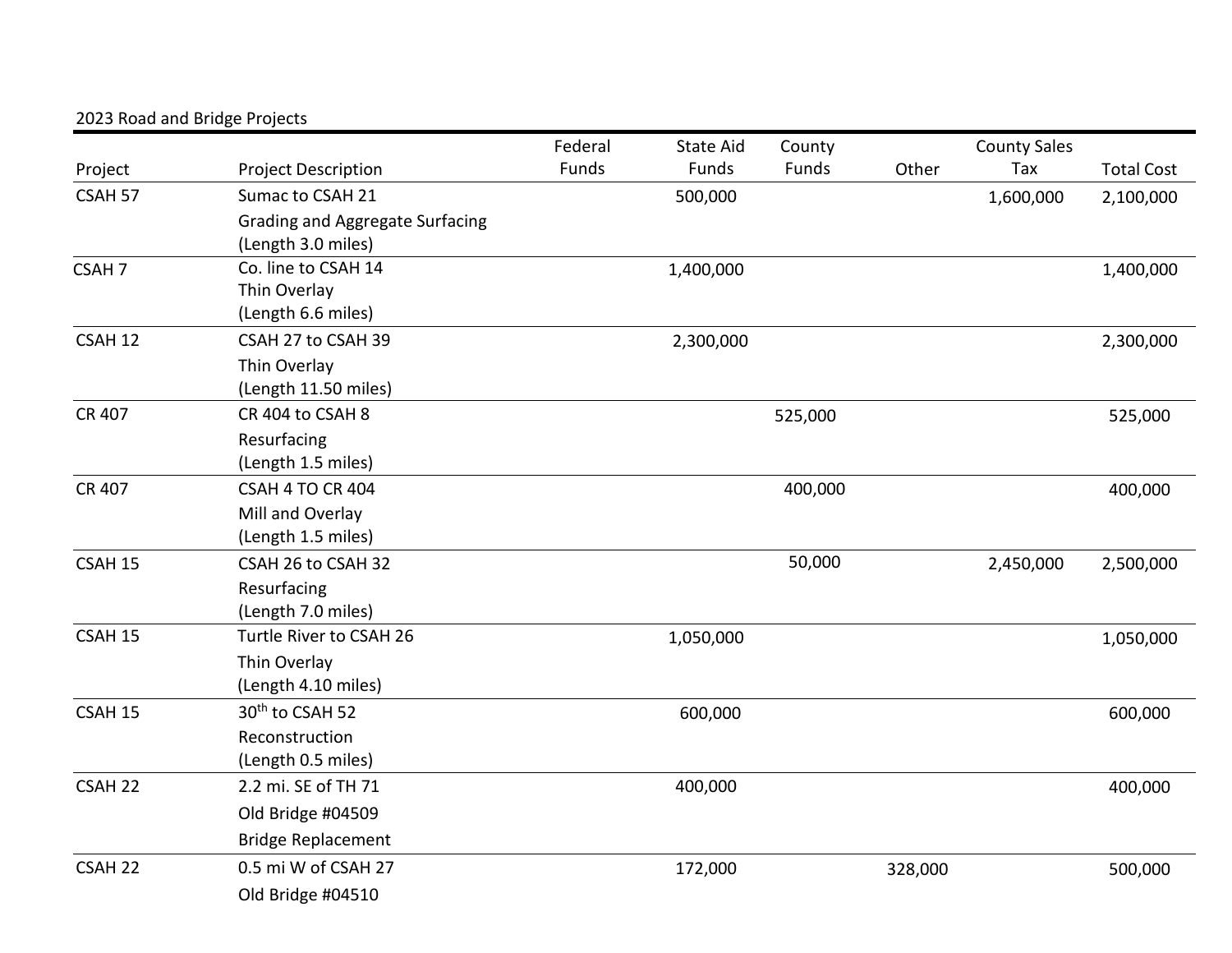|                    |                                 | Federal | <b>State Aid</b> | County  |         | <b>County Sales</b> |                   |
|--------------------|---------------------------------|---------|------------------|---------|---------|---------------------|-------------------|
| Project            | <b>Project Description</b>      | Funds   | Funds            | Funds   | Other   | Tax                 | <b>Total Cost</b> |
| CSAH 57            | Sumac to CSAH 21                |         | 500,000          |         |         | 1,600,000           | 2,100,000         |
|                    | Grading and Aggregate Surfacing |         |                  |         |         |                     |                   |
|                    | (Length 3.0 miles)              |         |                  |         |         |                     |                   |
| CSAH <sub>7</sub>  | Co. line to CSAH 14             |         | 1,400,000        |         |         |                     | 1,400,000         |
|                    | Thin Overlay                    |         |                  |         |         |                     |                   |
|                    | (Length 6.6 miles)              |         |                  |         |         |                     |                   |
| CSAH 12            | CSAH 27 to CSAH 39              |         | 2,300,000        |         |         |                     | 2,300,000         |
|                    | Thin Overlay                    |         |                  |         |         |                     |                   |
|                    | (Length 11.50 miles)            |         |                  |         |         |                     |                   |
| <b>CR 407</b>      | CR 404 to CSAH 8                |         |                  | 525,000 |         |                     | 525,000           |
|                    | Resurfacing                     |         |                  |         |         |                     |                   |
|                    | (Length 1.5 miles)              |         |                  |         |         |                     |                   |
| <b>CR 407</b>      | <b>CSAH 4 TO CR 404</b>         |         |                  | 400,000 |         |                     | 400,000           |
|                    | Mill and Overlay                |         |                  |         |         |                     |                   |
|                    | (Length 1.5 miles)              |         |                  |         |         |                     |                   |
| CSAH 15            | CSAH 26 to CSAH 32              |         |                  | 50,000  |         | 2,450,000           | 2,500,000         |
|                    | Resurfacing                     |         |                  |         |         |                     |                   |
|                    | (Length 7.0 miles)              |         |                  |         |         |                     |                   |
| CSAH 15            | Turtle River to CSAH 26         |         | 1,050,000        |         |         |                     | 1,050,000         |
|                    | Thin Overlay                    |         |                  |         |         |                     |                   |
|                    | (Length 4.10 miles)             |         |                  |         |         |                     |                   |
| CSAH 15            | 30 <sup>th</sup> to CSAH 52     |         | 600,000          |         |         |                     | 600,000           |
|                    | Reconstruction                  |         |                  |         |         |                     |                   |
|                    | (Length 0.5 miles)              |         |                  |         |         |                     |                   |
| CSAH <sub>22</sub> | 2.2 mi. SE of TH 71             |         | 400,000          |         |         |                     | 400,000           |
|                    | Old Bridge #04509               |         |                  |         |         |                     |                   |
|                    | <b>Bridge Replacement</b>       |         |                  |         |         |                     |                   |
| CSAH <sub>22</sub> | 0.5 mi W of CSAH 27             |         | 172,000          |         | 328,000 |                     | 500,000           |
|                    | Old Bridge #04510               |         |                  |         |         |                     |                   |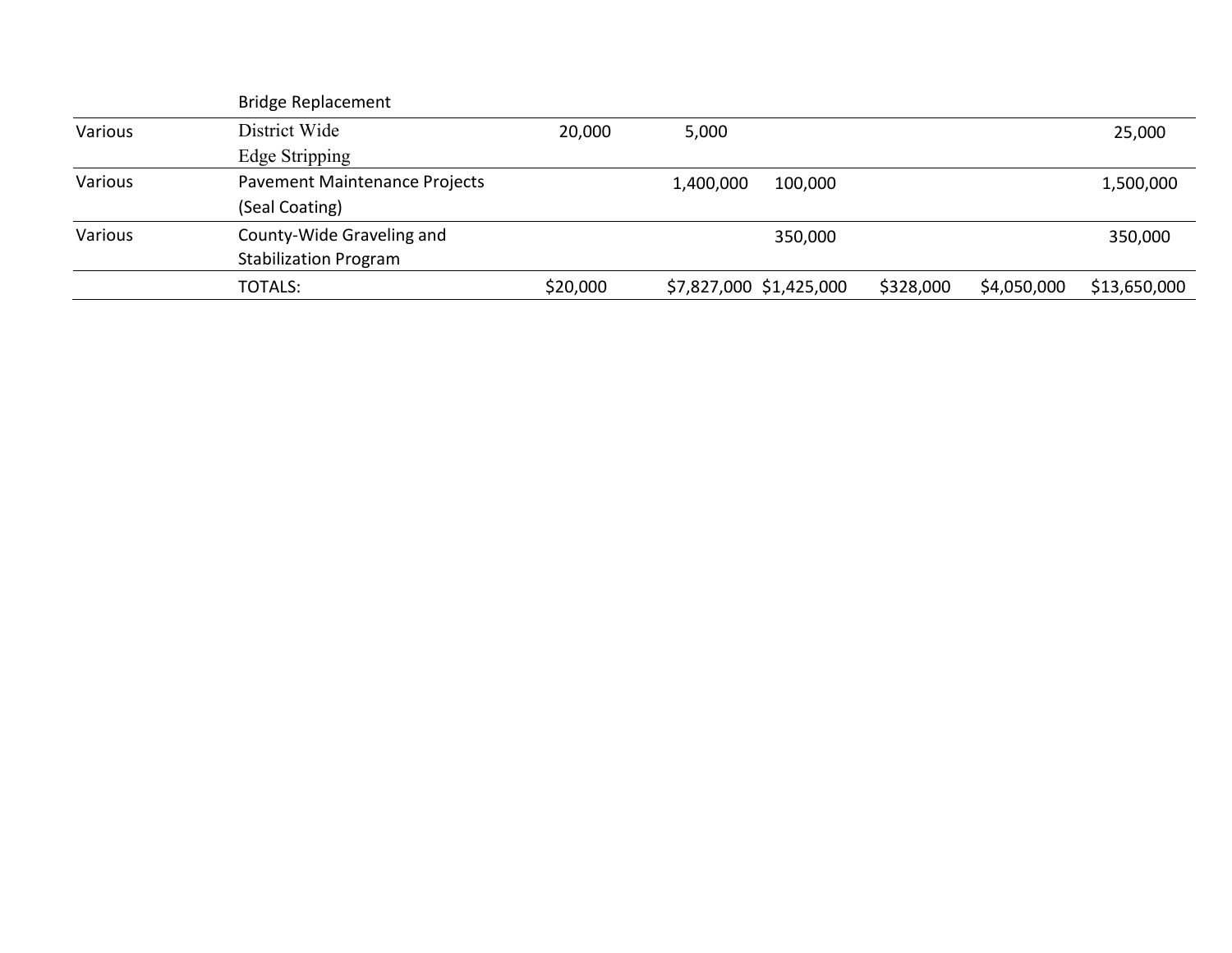|         | <b>Bridge Replacement</b>     |          |                         |           |             |              |
|---------|-------------------------------|----------|-------------------------|-----------|-------------|--------------|
| Various | District Wide                 | 20,000   | 5,000                   |           |             | 25,000       |
|         | Edge Stripping                |          |                         |           |             |              |
| Various | Pavement Maintenance Projects |          | 100,000<br>1,400,000    |           |             | 1,500,000    |
|         | (Seal Coating)                |          |                         |           |             |              |
| Various | County-Wide Graveling and     |          | 350,000                 |           |             | 350,000      |
|         | <b>Stabilization Program</b>  |          |                         |           |             |              |
|         | <b>TOTALS:</b>                | \$20,000 | \$7,827,000 \$1,425,000 | \$328,000 | \$4,050,000 | \$13,650,000 |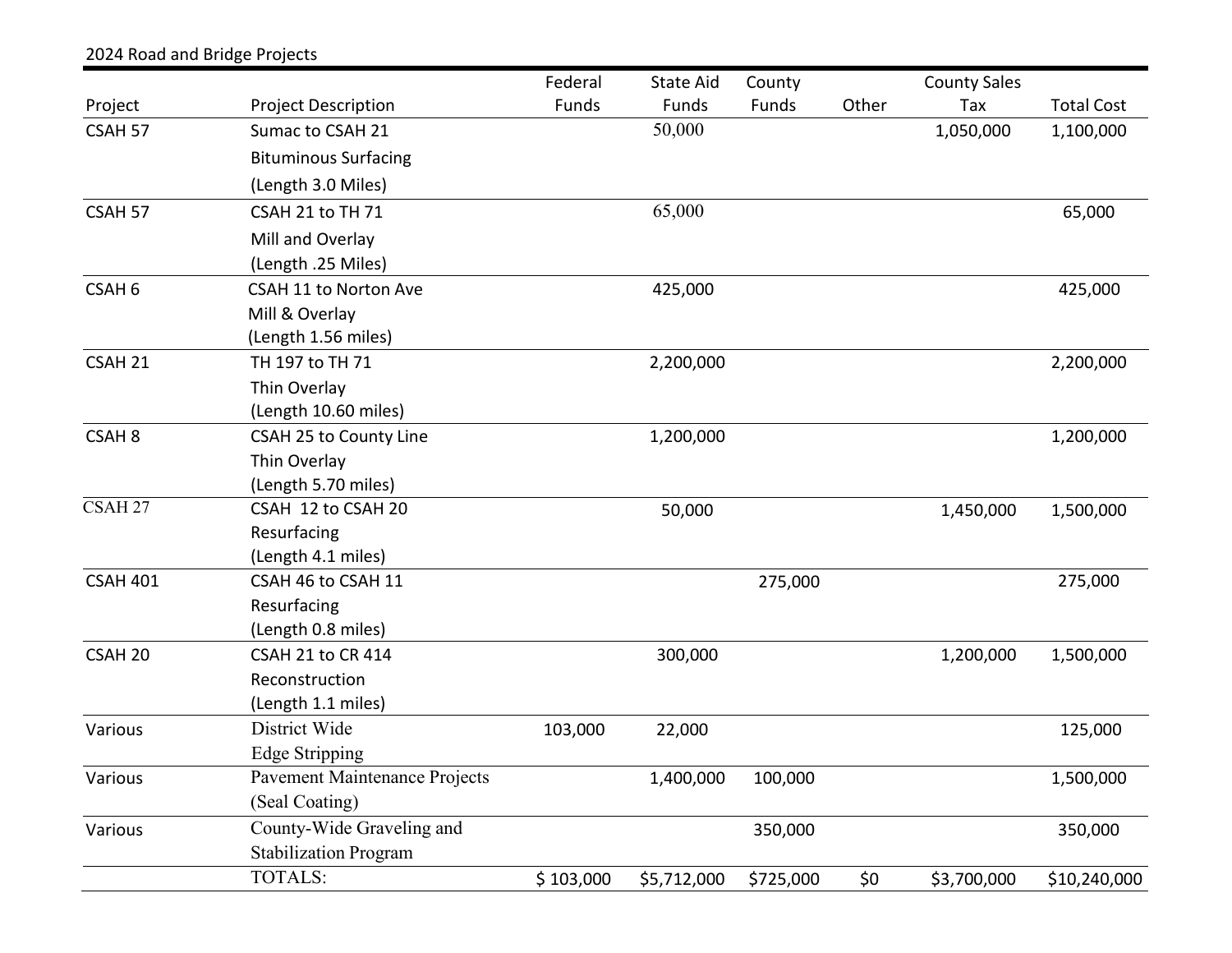|                    |                               | Federal   | State Aid   | County    |       | <b>County Sales</b> |                   |
|--------------------|-------------------------------|-----------|-------------|-----------|-------|---------------------|-------------------|
| Project            | <b>Project Description</b>    | Funds     | Funds       | Funds     | Other | Tax                 | <b>Total Cost</b> |
| CSAH 57            | Sumac to CSAH 21              |           | 50,000      |           |       | 1,050,000           | 1,100,000         |
|                    | <b>Bituminous Surfacing</b>   |           |             |           |       |                     |                   |
|                    | (Length 3.0 Miles)            |           |             |           |       |                     |                   |
| CSAH 57            | CSAH 21 to TH 71              |           | 65,000      |           |       |                     | 65,000            |
|                    | Mill and Overlay              |           |             |           |       |                     |                   |
|                    | (Length .25 Miles)            |           |             |           |       |                     |                   |
| CSAH <sub>6</sub>  | CSAH 11 to Norton Ave         |           | 425,000     |           |       |                     | 425,000           |
|                    | Mill & Overlay                |           |             |           |       |                     |                   |
|                    | (Length 1.56 miles)           |           |             |           |       |                     |                   |
| CSAH 21            | TH 197 to TH 71               |           | 2,200,000   |           |       |                     | 2,200,000         |
|                    | Thin Overlay                  |           |             |           |       |                     |                   |
|                    | (Length 10.60 miles)          |           |             |           |       |                     |                   |
| CSAH <sub>8</sub>  | CSAH 25 to County Line        |           | 1,200,000   |           |       |                     | 1,200,000         |
|                    | Thin Overlay                  |           |             |           |       |                     |                   |
|                    | (Length 5.70 miles)           |           |             |           |       |                     |                   |
| CSAH <sub>27</sub> | CSAH 12 to CSAH 20            |           | 50,000      |           |       | 1,450,000           | 1,500,000         |
|                    | Resurfacing                   |           |             |           |       |                     |                   |
|                    | (Length 4.1 miles)            |           |             |           |       |                     |                   |
| <b>CSAH 401</b>    | CSAH 46 to CSAH 11            |           |             | 275,000   |       |                     | 275,000           |
|                    | Resurfacing                   |           |             |           |       |                     |                   |
|                    | (Length 0.8 miles)            |           |             |           |       |                     |                   |
| CSAH <sub>20</sub> | CSAH 21 to CR 414             |           | 300,000     |           |       | 1,200,000           | 1,500,000         |
|                    | Reconstruction                |           |             |           |       |                     |                   |
|                    | (Length 1.1 miles)            |           |             |           |       |                     |                   |
| Various            | District Wide                 | 103,000   | 22,000      |           |       |                     | 125,000           |
|                    | Edge Stripping                |           |             |           |       |                     |                   |
| Various            | Pavement Maintenance Projects |           | 1,400,000   | 100,000   |       |                     | 1,500,000         |
|                    | (Seal Coating)                |           |             |           |       |                     |                   |
| Various            | County-Wide Graveling and     |           |             | 350,000   |       |                     | 350,000           |
|                    | <b>Stabilization Program</b>  |           |             |           |       |                     |                   |
|                    | <b>TOTALS:</b>                | \$103,000 | \$5,712,000 | \$725,000 | \$0   | \$3,700,000         | \$10,240,000      |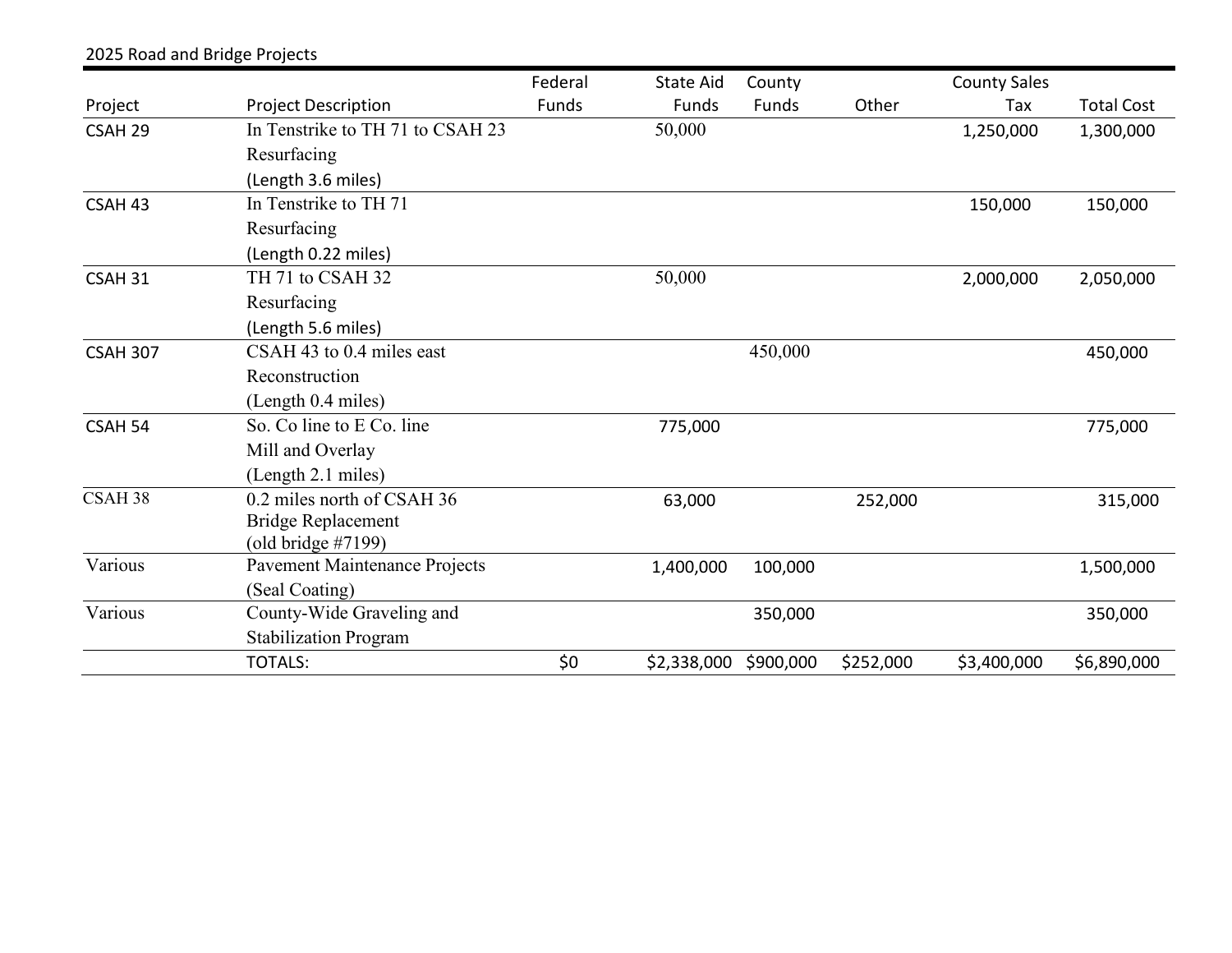|                                  | Federal                                                                   | <b>State Aid</b> | County    |             | <b>County Sales</b> |                   |
|----------------------------------|---------------------------------------------------------------------------|------------------|-----------|-------------|---------------------|-------------------|
| <b>Project Description</b>       | Funds                                                                     | Funds            | Funds     | Other       | Tax                 | <b>Total Cost</b> |
| In Tenstrike to TH 71 to CSAH 23 |                                                                           | 50,000           |           |             | 1,250,000           | 1,300,000         |
| Resurfacing                      |                                                                           |                  |           |             |                     |                   |
| (Length 3.6 miles)               |                                                                           |                  |           |             |                     |                   |
| In Tenstrike to TH 71            |                                                                           |                  |           |             | 150,000             | 150,000           |
| Resurfacing                      |                                                                           |                  |           |             |                     |                   |
| (Length 0.22 miles)              |                                                                           |                  |           |             |                     |                   |
| TH 71 to CSAH 32                 |                                                                           | 50,000           |           |             | 2,000,000           | 2,050,000         |
| Resurfacing                      |                                                                           |                  |           |             |                     |                   |
| (Length 5.6 miles)               |                                                                           |                  |           |             |                     |                   |
| $CSAH$ 43 to 0.4 miles east      |                                                                           |                  | 450,000   |             |                     | 450,000           |
| Reconstruction                   |                                                                           |                  |           |             |                     |                   |
| (Length 0.4 miles)               |                                                                           |                  |           |             |                     |                   |
| So. Co line to E Co. line        |                                                                           | 775,000          |           |             |                     | 775,000           |
| Mill and Overlay                 |                                                                           |                  |           |             |                     |                   |
| (Length 2.1 miles)               |                                                                           |                  |           |             |                     |                   |
| 0.2 miles north of CSAH 36       |                                                                           | 63,000           |           | 252,000     |                     | 315,000           |
| <b>Bridge Replacement</b>        |                                                                           |                  |           |             |                     |                   |
|                                  |                                                                           |                  |           |             |                     |                   |
|                                  |                                                                           | 1,400,000        | 100,000   |             |                     | 1,500,000         |
|                                  |                                                                           |                  |           |             |                     |                   |
| County-Wide Graveling and        |                                                                           |                  | 350,000   |             |                     | 350,000           |
| <b>Stabilization Program</b>     |                                                                           |                  |           |             |                     |                   |
| <b>TOTALS:</b>                   | \$0                                                                       |                  | \$900,000 | \$252,000   | \$3,400,000         | \$6,890,000       |
|                                  | (old bridge $\#7199$ )<br>Pavement Maintenance Projects<br>(Seal Coating) |                  |           | \$2,338,000 |                     |                   |